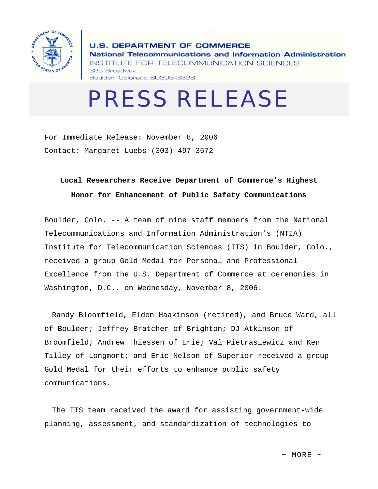

**U.S. DEPARTMENT OF COMMERCE** National Telecommunications and Information Administration INSTITUTE FOR TELECOMMUNICATION SCIENCES 325 Broadway Boulder, Colorado 80305-3328

## PRESS RELEASE

For Immediate Release: November 8, 2006 Contact: Margaret Luebs (303) 497-3572

## **Local Researchers Receive Department of Commerce's Highest Honor for Enhancement of Public Safety Communications**

Boulder, Colo. -- A team of nine staff members from the National Telecommunications and Information Administration's (NTIA) Institute for Telecommunication Sciences (ITS) in Boulder, Colo., received a group Gold Medal for Personal and Professional Excellence from the U.S. Department of Commerce at ceremonies in Washington, D.C., on Wednesday, November 8, 2006.

 Randy Bloomfield, Eldon Haakinson (retired), and Bruce Ward, all of Boulder; Jeffrey Bratcher of Brighton; DJ Atkinson of Broomfield; Andrew Thiessen of Erie; Val Pietrasiewicz and Ken Tilley of Longmont; and Eric Nelson of Superior received a group Gold Medal for their efforts to enhance public safety communications.

 The ITS team received the award for assisting government-wide planning, assessment, and standardization of technologies to